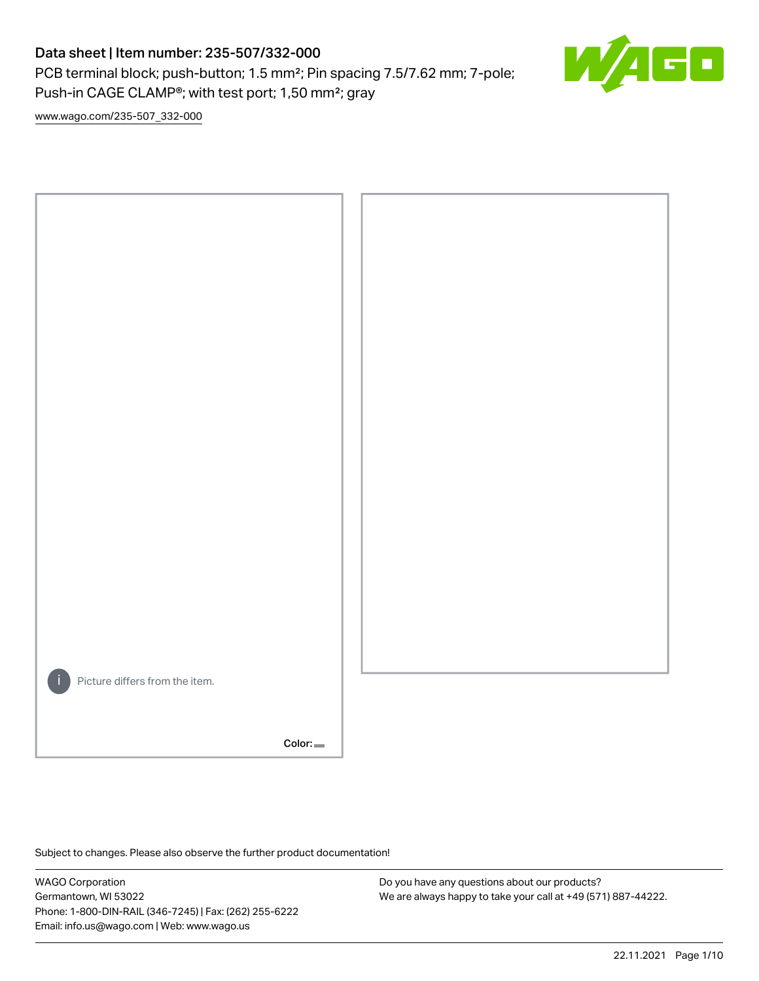PCB terminal block; push-button; 1.5 mm²; Pin spacing 7.5/7.62 mm; 7-pole; Push-in CAGE CLAMP®; with test port; 1,50 mm²; gray



[www.wago.com/235-507\\_332-000](http://www.wago.com/235-507_332-000)



Subject to changes. Please also observe the further product documentation!

WAGO Corporation Germantown, WI 53022 Phone: 1-800-DIN-RAIL (346-7245) | Fax: (262) 255-6222 Email: info.us@wago.com | Web: www.wago.us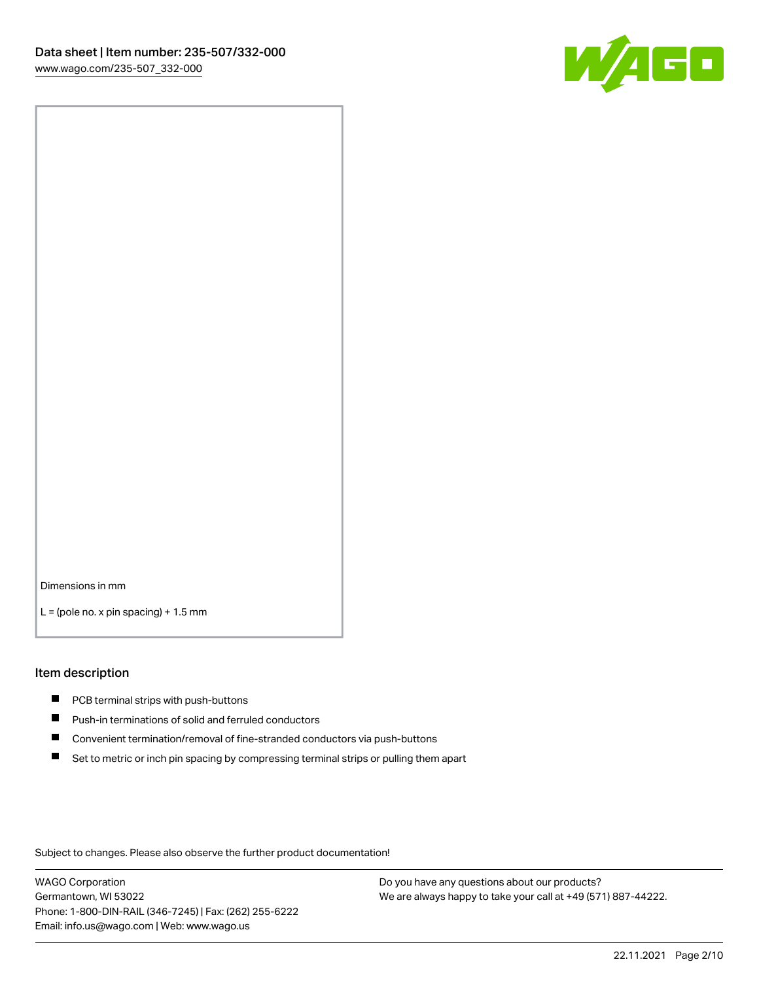

Dimensions in mm

 $L =$  (pole no. x pin spacing) + 1.5 mm

#### Item description

- **PCB terminal strips with push-buttons**
- **Push-in terminations of solid and ferruled conductors**
- $\blacksquare$ Convenient termination/removal of fine-stranded conductors via push-buttons
- Set to metric or inch pin spacing by compressing terminal strips or pulling them apart

Subject to changes. Please also observe the further product documentation!

WAGO Corporation Germantown, WI 53022 Phone: 1-800-DIN-RAIL (346-7245) | Fax: (262) 255-6222 Email: info.us@wago.com | Web: www.wago.us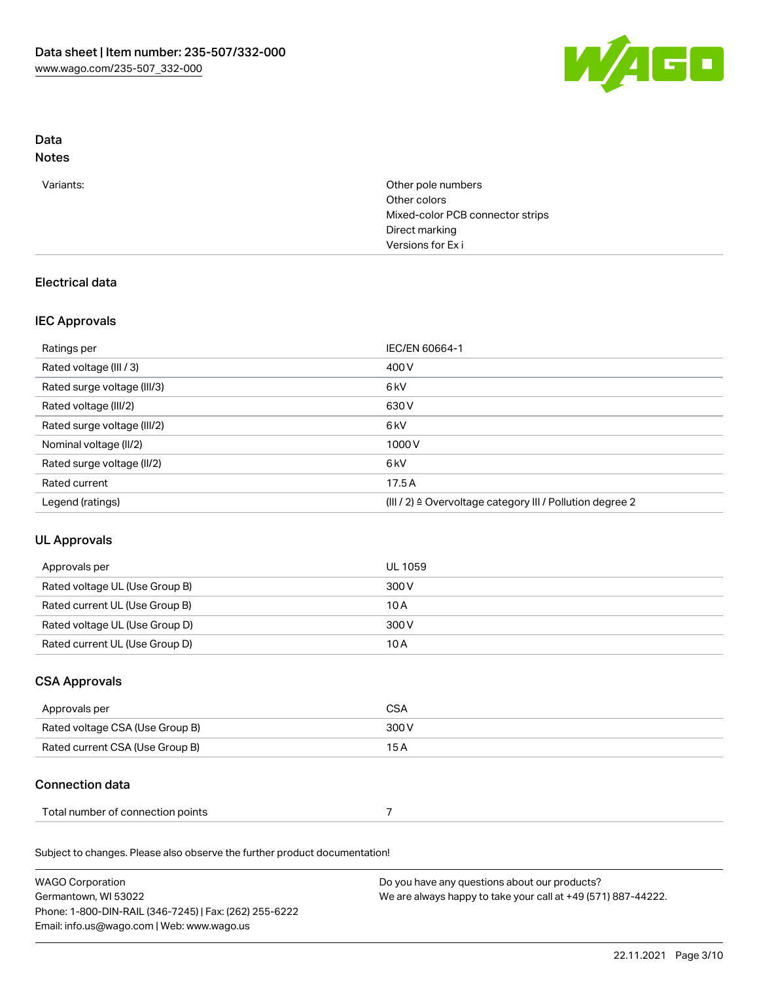

# Data

## Notes

| Variants: | Other pole numbers<br>Other colors |
|-----------|------------------------------------|
|           | Mixed-color PCB connector strips   |
|           | Direct marking                     |
|           | Versions for Exi                   |
|           |                                    |

## Electrical data

### IEC Approvals

| Ratings per                 | IEC/EN 60664-1                                            |
|-----------------------------|-----------------------------------------------------------|
| Rated voltage (III / 3)     | 400 V                                                     |
| Rated surge voltage (III/3) | 6 <sub>k</sub> V                                          |
| Rated voltage (III/2)       | 630 V                                                     |
| Rated surge voltage (III/2) | 6 <sub>kV</sub>                                           |
| Nominal voltage (II/2)      | 1000V                                                     |
| Rated surge voltage (II/2)  | 6 <sub>kV</sub>                                           |
| Rated current               | 17.5A                                                     |
| Legend (ratings)            | (III / 2) ≙ Overvoltage category III / Pollution degree 2 |

## UL Approvals

| Approvals per                  | UL 1059 |
|--------------------------------|---------|
| Rated voltage UL (Use Group B) | 300 V   |
| Rated current UL (Use Group B) | 10 A    |
| Rated voltage UL (Use Group D) | 300 V   |
| Rated current UL (Use Group D) | 10 A    |

### CSA Approvals

| Approvals per                   | CSA   |
|---------------------------------|-------|
| Rated voltage CSA (Use Group B) | 300 V |
| Rated current CSA (Use Group B) | 15 A  |

## Connection data

| Total number of connection points |  |
|-----------------------------------|--|
|-----------------------------------|--|

Subject to changes. Please also observe the further product documentation!

| <b>WAGO Corporation</b>                                | Do you have any questions about our products?                 |
|--------------------------------------------------------|---------------------------------------------------------------|
| Germantown, WI 53022                                   | We are always happy to take your call at +49 (571) 887-44222. |
| Phone: 1-800-DIN-RAIL (346-7245)   Fax: (262) 255-6222 |                                                               |
| Email: info.us@wago.com   Web: www.wago.us             |                                                               |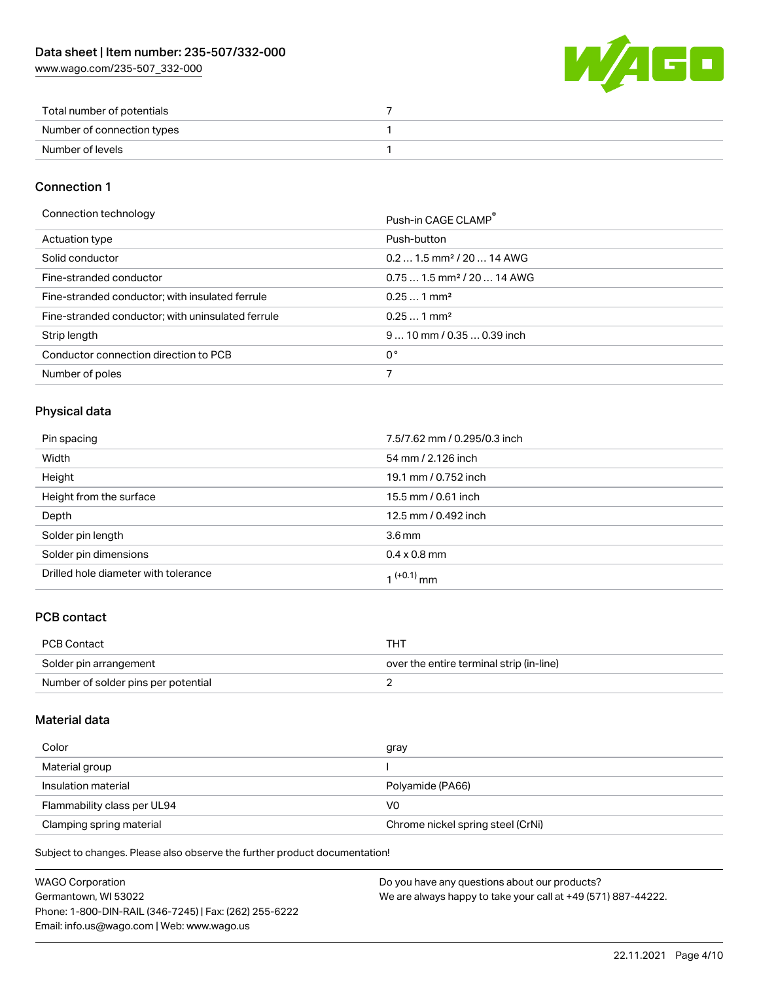[www.wago.com/235-507\\_332-000](http://www.wago.com/235-507_332-000)



| Total number of potentials |  |
|----------------------------|--|
| Number of connection types |  |
| Number of levels           |  |

### Connection 1

| Connection technology |
|-----------------------|
|-----------------------|

| Connection technology                             | Push-in CAGE CLAMP®                    |
|---------------------------------------------------|----------------------------------------|
| Actuation type                                    | Push-button                            |
| Solid conductor                                   | $0.21.5$ mm <sup>2</sup> / 20  14 AWG  |
| Fine-stranded conductor                           | $0.751.5$ mm <sup>2</sup> / 20  14 AWG |
| Fine-stranded conductor; with insulated ferrule   | $0.251$ mm <sup>2</sup>                |
| Fine-stranded conductor; with uninsulated ferrule | $0.251$ mm <sup>2</sup>                |
| Strip length                                      | $910$ mm $/0.350.39$ inch              |
| Conductor connection direction to PCB             | 0°                                     |
| Number of poles                                   |                                        |

### Physical data

| Pin spacing                          | 7.5/7.62 mm / 0.295/0.3 inch |
|--------------------------------------|------------------------------|
| Width                                | 54 mm / 2.126 inch           |
| Height                               | 19.1 mm / 0.752 inch         |
| Height from the surface              | 15.5 mm / 0.61 inch          |
| Depth                                | 12.5 mm / 0.492 inch         |
| Solder pin length                    | 3.6 <sub>mm</sub>            |
| Solder pin dimensions                | $0.4 \times 0.8$ mm          |
| Drilled hole diameter with tolerance | $1^{(+0.1)}$ mm              |

### PCB contact

| PCB Contact                         | THT                                      |
|-------------------------------------|------------------------------------------|
| Solder pin arrangement              | over the entire terminal strip (in-line) |
| Number of solder pins per potential |                                          |

### Material data

| Color                       | gray                              |
|-----------------------------|-----------------------------------|
| Material group              |                                   |
| Insulation material         | Polyamide (PA66)                  |
| Flammability class per UL94 | V0                                |
| Clamping spring material    | Chrome nickel spring steel (CrNi) |

Subject to changes. Please also observe the further product documentation!

| WAGO Corporation                                       | Do you have any questions about our products?                 |
|--------------------------------------------------------|---------------------------------------------------------------|
| Germantown, WI 53022                                   | We are always happy to take your call at +49 (571) 887-44222. |
| Phone: 1-800-DIN-RAIL (346-7245)   Fax: (262) 255-6222 |                                                               |
| Email: info.us@wago.com   Web: www.wago.us             |                                                               |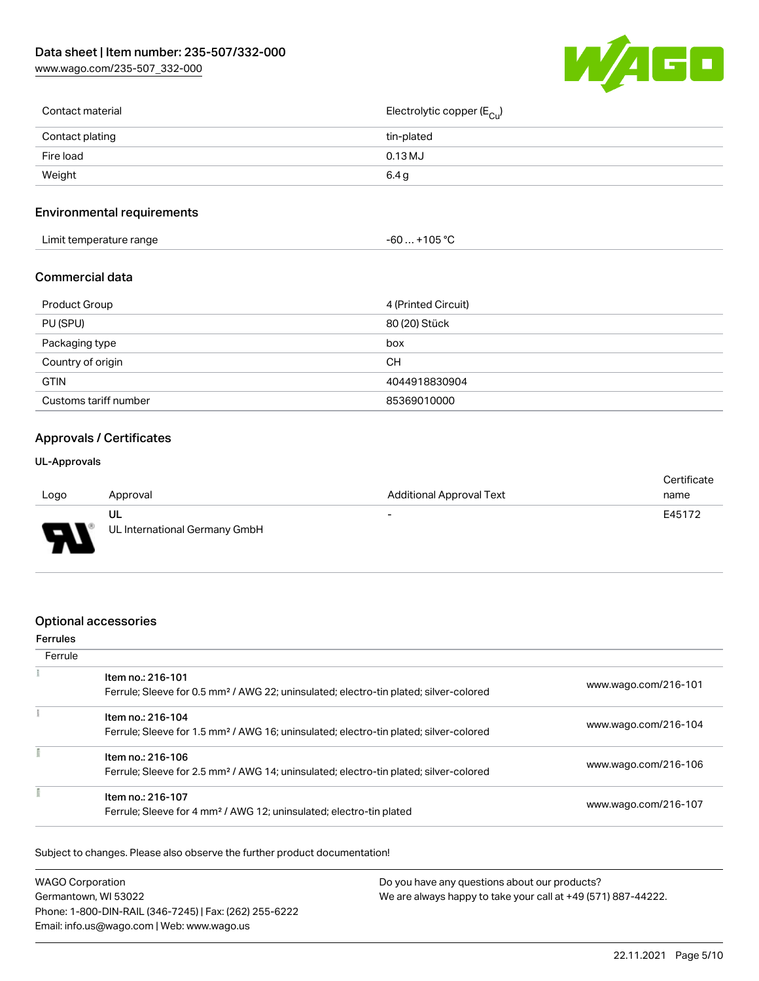[www.wago.com/235-507\\_332-000](http://www.wago.com/235-507_332-000)



| Contact material | Electrolytic copper ( $E_{\text{Cu}}$ ) |
|------------------|-----------------------------------------|
| Contact plating  | tin-plated                              |
| Fire load        | $0.13$ MJ                               |
| Weight           | 6.4 g                                   |
|                  |                                         |

### Environmental requirements

| Limit temperature range<br>-60 | $. +105 °C$ |
|--------------------------------|-------------|
|--------------------------------|-------------|

#### Commercial data

| Product Group         | 4 (Printed Circuit) |
|-----------------------|---------------------|
| PU (SPU)              | 80 (20) Stück       |
| Packaging type        | box                 |
| Country of origin     | <b>CH</b>           |
| <b>GTIN</b>           | 4044918830904       |
| Customs tariff number | 85369010000         |

#### Approvals / Certificates

#### UL-Approvals

|                          |                               |                          | Certificate |
|--------------------------|-------------------------------|--------------------------|-------------|
| Logo                     | Approval                      | Additional Approval Text | name        |
|                          | UL                            | $\overline{\phantom{a}}$ | E45172      |
| $\overline{\phantom{0}}$ | UL International Germany GmbH |                          |             |

#### Optional accessories

#### Ferrules **Ferrule**  $\overline{z}$ Item no.: 216-101 Ferrule; Sleeve for 0.5 mm² / AWG 22; uninsulated; electro-tin plated; silver-colored [www.wago.com/216-101](http://www.wago.com/216-101)  $\tilde{\Sigma}$ Item no.: 216-104 Ferrule; Sleeve for 1.5 mm² / AWG 16; uninsulated; electro-tin plated; silver-colored [www.wago.com/216-104](http://www.wago.com/216-104) ī Item no.: 216-106 Ferrule; Sleeve for 2.5 mm² / AWG 14; uninsulated; electro-tin plated; silver-colored [www.wago.com/216-106](http://www.wago.com/216-106) ī Item no.: 216-107

Subject to changes. Please also observe the further product documentation!

| <b>WAGO Corporation</b>                                | Do you have any questions about our products?                 |
|--------------------------------------------------------|---------------------------------------------------------------|
| Germantown, WI 53022                                   | We are always happy to take your call at +49 (571) 887-44222. |
| Phone: 1-800-DIN-RAIL (346-7245)   Fax: (262) 255-6222 |                                                               |
| Email: info.us@wago.com   Web: www.wago.us             |                                                               |

Ferrule; Sleeve for 4 mm² / AWG 12; uninsulated; electro-tin plated [www.wago.com/216-107](http://www.wago.com/216-107)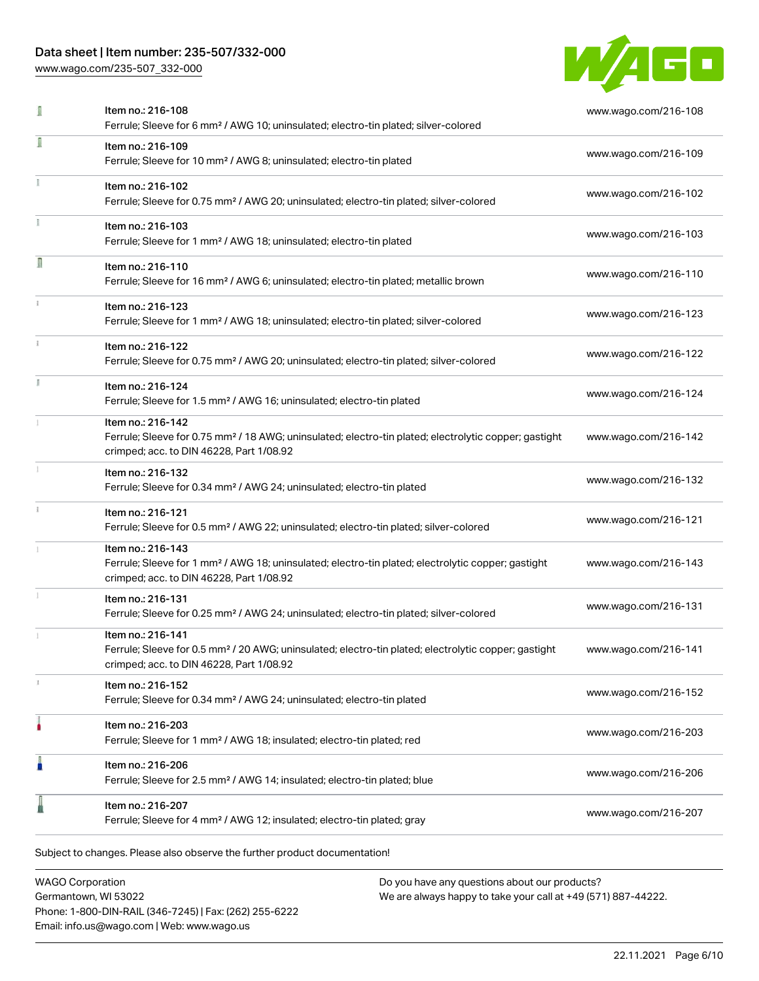[www.wago.com/235-507\\_332-000](http://www.wago.com/235-507_332-000)



| I | Item no.: 216-108<br>Ferrule; Sleeve for 6 mm <sup>2</sup> / AWG 10; uninsulated; electro-tin plated; silver-colored                                                               | www.wago.com/216-108 |
|---|------------------------------------------------------------------------------------------------------------------------------------------------------------------------------------|----------------------|
| I | Item no.: 216-109<br>Ferrule; Sleeve for 10 mm <sup>2</sup> / AWG 8; uninsulated; electro-tin plated                                                                               | www.wago.com/216-109 |
|   | Item no.: 216-102<br>Ferrule; Sleeve for 0.75 mm <sup>2</sup> / AWG 20; uninsulated; electro-tin plated; silver-colored                                                            | www.wago.com/216-102 |
|   | Item no.: 216-103<br>Ferrule; Sleeve for 1 mm <sup>2</sup> / AWG 18; uninsulated; electro-tin plated                                                                               | www.wago.com/216-103 |
| Π | Item no.: 216-110<br>Ferrule; Sleeve for 16 mm <sup>2</sup> / AWG 6; uninsulated; electro-tin plated; metallic brown                                                               | www.wago.com/216-110 |
|   | Item no.: 216-123<br>Ferrule; Sleeve for 1 mm <sup>2</sup> / AWG 18; uninsulated; electro-tin plated; silver-colored                                                               | www.wago.com/216-123 |
|   | Item no.: 216-122<br>Ferrule; Sleeve for 0.75 mm <sup>2</sup> / AWG 20; uninsulated; electro-tin plated; silver-colored                                                            | www.wago.com/216-122 |
|   | Item no.: 216-124<br>Ferrule; Sleeve for 1.5 mm <sup>2</sup> / AWG 16; uninsulated; electro-tin plated                                                                             | www.wago.com/216-124 |
|   | Item no.: 216-142<br>Ferrule; Sleeve for 0.75 mm <sup>2</sup> / 18 AWG; uninsulated; electro-tin plated; electrolytic copper; gastight<br>crimped; acc. to DIN 46228, Part 1/08.92 | www.wago.com/216-142 |
|   | Item no.: 216-132<br>Ferrule; Sleeve for 0.34 mm <sup>2</sup> / AWG 24; uninsulated; electro-tin plated                                                                            | www.wago.com/216-132 |
|   | Item no.: 216-121<br>Ferrule; Sleeve for 0.5 mm <sup>2</sup> / AWG 22; uninsulated; electro-tin plated; silver-colored                                                             | www.wago.com/216-121 |
|   | Item no.: 216-143<br>Ferrule; Sleeve for 1 mm <sup>2</sup> / AWG 18; uninsulated; electro-tin plated; electrolytic copper; gastight<br>crimped; acc. to DIN 46228, Part 1/08.92    | www.wago.com/216-143 |
|   | Item no.: 216-131<br>Ferrule; Sleeve for 0.25 mm <sup>2</sup> / AWG 24; uninsulated; electro-tin plated; silver-colored                                                            | www.wago.com/216-131 |
|   | Item no.: 216-141<br>Ferrule; Sleeve for 0.5 mm <sup>2</sup> / 20 AWG; uninsulated; electro-tin plated; electrolytic copper; gastight<br>crimped; acc. to DIN 46228, Part 1/08.92  | www.wago.com/216-141 |
|   | Item no.: 216-152<br>Ferrule; Sleeve for 0.34 mm <sup>2</sup> / AWG 24; uninsulated; electro-tin plated                                                                            | www.wago.com/216-152 |
|   | Item no.: 216-203<br>Ferrule; Sleeve for 1 mm <sup>2</sup> / AWG 18; insulated; electro-tin plated; red                                                                            | www.wago.com/216-203 |
| I | Item no.: 216-206<br>Ferrule; Sleeve for 2.5 mm <sup>2</sup> / AWG 14; insulated; electro-tin plated; blue                                                                         | www.wago.com/216-206 |
|   | Item no.: 216-207<br>Ferrule; Sleeve for 4 mm <sup>2</sup> / AWG 12; insulated; electro-tin plated; gray                                                                           | www.wago.com/216-207 |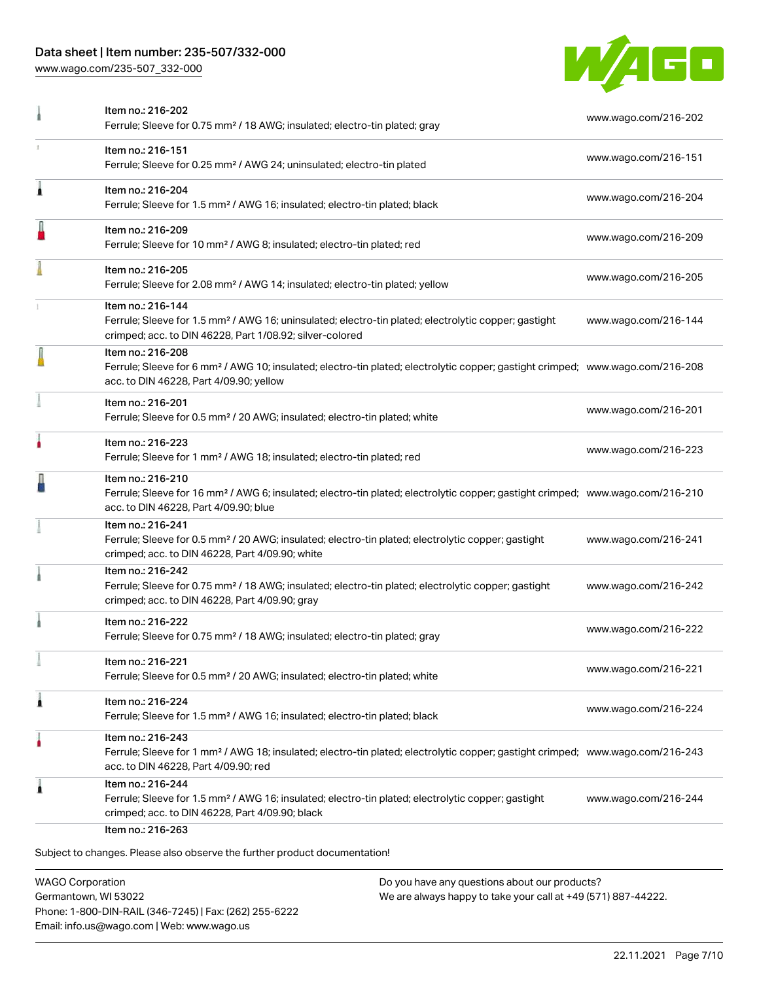[www.wago.com/235-507\\_332-000](http://www.wago.com/235-507_332-000)



| Item no.: 216-202<br>Ferrule; Sleeve for 0.75 mm <sup>2</sup> / 18 AWG; insulated; electro-tin plated; gray                                                                                                | www.wago.com/216-202 |
|------------------------------------------------------------------------------------------------------------------------------------------------------------------------------------------------------------|----------------------|
| Item no.: 216-151<br>Ferrule; Sleeve for 0.25 mm <sup>2</sup> / AWG 24; uninsulated; electro-tin plated                                                                                                    | www.wago.com/216-151 |
| Item no.: 216-204<br>Ferrule; Sleeve for 1.5 mm <sup>2</sup> / AWG 16; insulated; electro-tin plated; black                                                                                                | www.wago.com/216-204 |
| Item no.: 216-209<br>Ferrule; Sleeve for 10 mm <sup>2</sup> / AWG 8; insulated; electro-tin plated; red                                                                                                    | www.wago.com/216-209 |
| Item no.: 216-205<br>Ferrule; Sleeve for 2.08 mm <sup>2</sup> / AWG 14; insulated; electro-tin plated; yellow                                                                                              | www.wago.com/216-205 |
| Item no.: 216-144<br>Ferrule; Sleeve for 1.5 mm <sup>2</sup> / AWG 16; uninsulated; electro-tin plated; electrolytic copper; gastight<br>crimped; acc. to DIN 46228, Part 1/08.92; silver-colored          | www.wago.com/216-144 |
| Item no.: 216-208<br>Ferrule; Sleeve for 6 mm <sup>2</sup> / AWG 10; insulated; electro-tin plated; electrolytic copper; gastight crimped; www.wago.com/216-208<br>acc. to DIN 46228, Part 4/09.90; yellow |                      |
| Item no.: 216-201<br>Ferrule; Sleeve for 0.5 mm <sup>2</sup> / 20 AWG; insulated; electro-tin plated; white                                                                                                | www.wago.com/216-201 |
| Item no.: 216-223<br>Ferrule; Sleeve for 1 mm <sup>2</sup> / AWG 18; insulated; electro-tin plated; red                                                                                                    | www.wago.com/216-223 |
| Item no.: 216-210<br>Ferrule; Sleeve for 16 mm <sup>2</sup> / AWG 6; insulated; electro-tin plated; electrolytic copper; gastight crimped; www.wago.com/216-210<br>acc. to DIN 46228, Part 4/09.90; blue   |                      |
| Item no.: 216-241<br>Ferrule; Sleeve for 0.5 mm <sup>2</sup> / 20 AWG; insulated; electro-tin plated; electrolytic copper; gastight<br>crimped; acc. to DIN 46228, Part 4/09.90; white                     | www.wago.com/216-241 |
| Item no.: 216-242<br>Ferrule; Sleeve for 0.75 mm <sup>2</sup> / 18 AWG; insulated; electro-tin plated; electrolytic copper; gastight<br>crimped; acc. to DIN 46228, Part 4/09.90; gray                     | www.wago.com/216-242 |
| Item no.: 216-222<br>Ferrule; Sleeve for 0.75 mm <sup>2</sup> / 18 AWG; insulated; electro-tin plated; gray                                                                                                | www.wago.com/216-222 |
| Item no.: 216-221<br>Ferrule; Sleeve for 0.5 mm <sup>2</sup> / 20 AWG; insulated; electro-tin plated; white                                                                                                | www.wago.com/216-221 |
| Item no.: 216-224<br>Ferrule; Sleeve for 1.5 mm <sup>2</sup> / AWG 16; insulated; electro-tin plated; black                                                                                                | www.wago.com/216-224 |
| Item no.: 216-243<br>Ferrule; Sleeve for 1 mm <sup>2</sup> / AWG 18; insulated; electro-tin plated; electrolytic copper; gastight crimped; www.wago.com/216-243<br>acc. to DIN 46228, Part 4/09.90; red    |                      |
| Item no.: 216-244<br>Ferrule; Sleeve for 1.5 mm <sup>2</sup> / AWG 16; insulated; electro-tin plated; electrolytic copper; gastight<br>crimped; acc. to DIN 46228, Part 4/09.90; black                     | www.wago.com/216-244 |
|                                                                                                                                                                                                            |                      |

WAGO Corporation Germantown, WI 53022 Phone: 1-800-DIN-RAIL (346-7245) | Fax: (262) 255-6222 Email: info.us@wago.com | Web: www.wago.us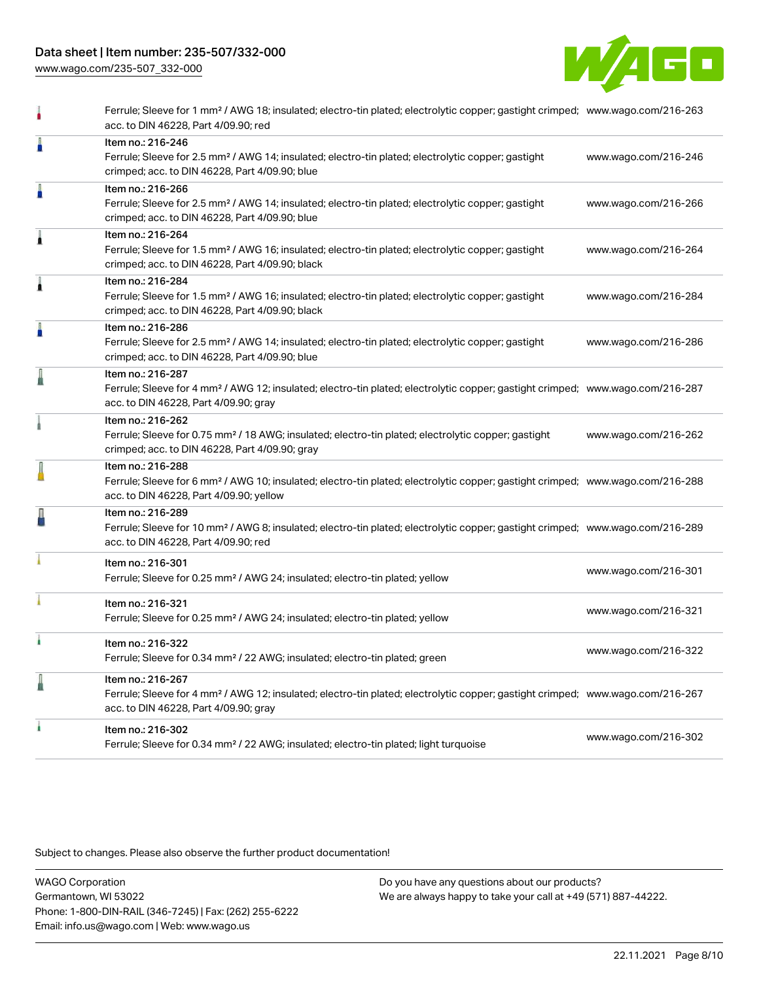[www.wago.com/235-507\\_332-000](http://www.wago.com/235-507_332-000)



|   | Ferrule; Sleeve for 1 mm <sup>2</sup> / AWG 18; insulated; electro-tin plated; electrolytic copper; gastight crimped; www.wago.com/216-263<br>acc. to DIN 46228, Part 4/09.90; red                         |                      |
|---|------------------------------------------------------------------------------------------------------------------------------------------------------------------------------------------------------------|----------------------|
| Å | Item no.: 216-246<br>Ferrule; Sleeve for 2.5 mm <sup>2</sup> / AWG 14; insulated; electro-tin plated; electrolytic copper; gastight<br>crimped; acc. to DIN 46228, Part 4/09.90; blue                      | www.wago.com/216-246 |
| Å | Item no.: 216-266<br>Ferrule; Sleeve for 2.5 mm <sup>2</sup> / AWG 14; insulated; electro-tin plated; electrolytic copper; gastight<br>crimped; acc. to DIN 46228, Part 4/09.90; blue                      | www.wago.com/216-266 |
| Â | Item no.: 216-264<br>Ferrule; Sleeve for 1.5 mm <sup>2</sup> / AWG 16; insulated; electro-tin plated; electrolytic copper; gastight<br>crimped; acc. to DIN 46228, Part 4/09.90; black                     | www.wago.com/216-264 |
| Â | Item no.: 216-284<br>Ferrule; Sleeve for 1.5 mm <sup>2</sup> / AWG 16; insulated; electro-tin plated; electrolytic copper; gastight<br>crimped; acc. to DIN 46228, Part 4/09.90; black                     | www.wago.com/216-284 |
| I | Item no.: 216-286<br>Ferrule; Sleeve for 2.5 mm <sup>2</sup> / AWG 14; insulated; electro-tin plated; electrolytic copper; gastight<br>crimped; acc. to DIN 46228, Part 4/09.90; blue                      | www.wago.com/216-286 |
| I | Item no.: 216-287<br>Ferrule; Sleeve for 4 mm <sup>2</sup> / AWG 12; insulated; electro-tin plated; electrolytic copper; gastight crimped; www.wago.com/216-287<br>acc. to DIN 46228, Part 4/09.90; gray   |                      |
|   | Item no.: 216-262<br>Ferrule; Sleeve for 0.75 mm <sup>2</sup> / 18 AWG; insulated; electro-tin plated; electrolytic copper; gastight<br>crimped; acc. to DIN 46228, Part 4/09.90; gray                     | www.wago.com/216-262 |
|   | Item no.: 216-288<br>Ferrule; Sleeve for 6 mm <sup>2</sup> / AWG 10; insulated; electro-tin plated; electrolytic copper; gastight crimped; www.wago.com/216-288<br>acc. to DIN 46228, Part 4/09.90; yellow |                      |
| ł | Item no.: 216-289<br>Ferrule; Sleeve for 10 mm <sup>2</sup> / AWG 8; insulated; electro-tin plated; electrolytic copper; gastight crimped; www.wago.com/216-289<br>acc. to DIN 46228, Part 4/09.90; red    |                      |
|   | Item no.: 216-301<br>Ferrule; Sleeve for 0.25 mm <sup>2</sup> / AWG 24; insulated; electro-tin plated; yellow                                                                                              | www.wago.com/216-301 |
|   | Item no.: 216-321<br>Ferrule; Sleeve for 0.25 mm <sup>2</sup> / AWG 24; insulated; electro-tin plated; yellow                                                                                              | www.wago.com/216-321 |
|   | Item no.: 216-322<br>Ferrule; Sleeve for 0.34 mm <sup>2</sup> / 22 AWG; insulated; electro-tin plated; green                                                                                               | www.wago.com/216-322 |
| l | Item no.: 216-267<br>Ferrule; Sleeve for 4 mm <sup>2</sup> / AWG 12; insulated; electro-tin plated; electrolytic copper; gastight crimped; www.wago.com/216-267<br>acc. to DIN 46228, Part 4/09.90; gray   |                      |
|   | Item no.: 216-302<br>Ferrule; Sleeve for 0.34 mm <sup>2</sup> / 22 AWG; insulated; electro-tin plated; light turquoise                                                                                     | www.wago.com/216-302 |
|   |                                                                                                                                                                                                            |                      |

Subject to changes. Please also observe the further product documentation!

WAGO Corporation Germantown, WI 53022 Phone: 1-800-DIN-RAIL (346-7245) | Fax: (262) 255-6222 Email: info.us@wago.com | Web: www.wago.us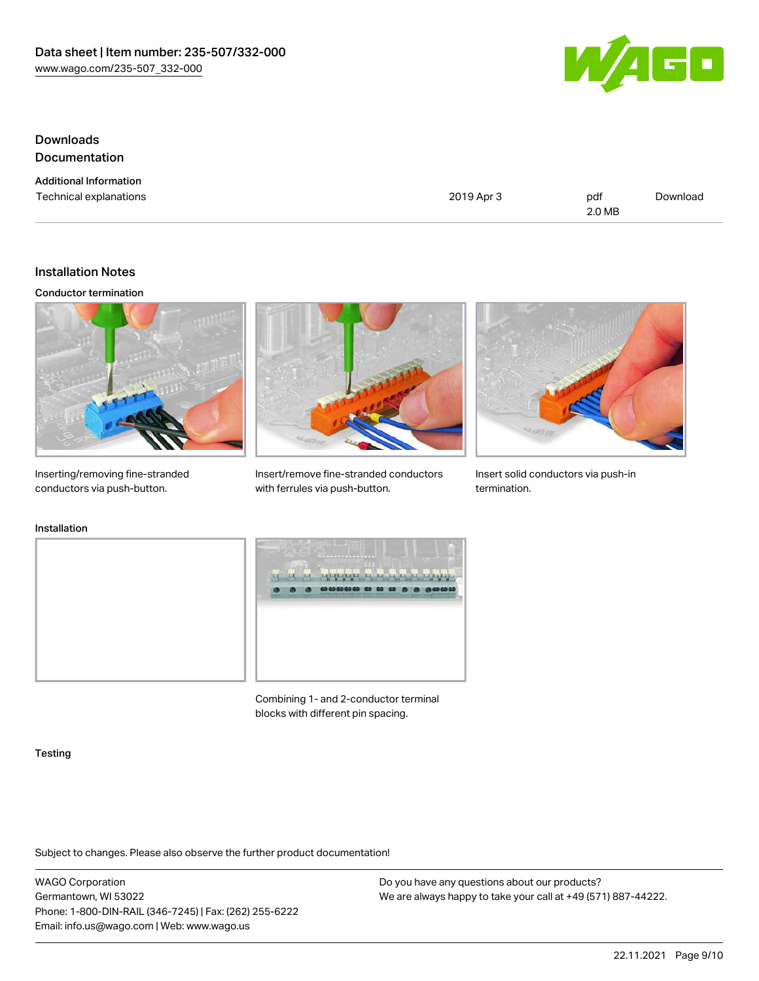

## Downloads Documentation

Additional Information

Technical explanations and political explanations and political explanations and political explanations of political explanations of political explanations of political explanations of political explanations of political e 2.0 MB [Download](https://www.wago.com/global/d/1435602)

#### Installation Notes

#### Conductor termination



Inserting/removing fine-stranded conductors via push-button.



Insert/remove fine-stranded conductors with ferrules via push-button.



Insert solid conductors via push-in termination.

### Installation





Combining 1- and 2-conductor terminal blocks with different pin spacing.

#### **Testing**

Subject to changes. Please also observe the further product documentation!

WAGO Corporation Germantown, WI 53022 Phone: 1-800-DIN-RAIL (346-7245) | Fax: (262) 255-6222 Email: info.us@wago.com | Web: www.wago.us